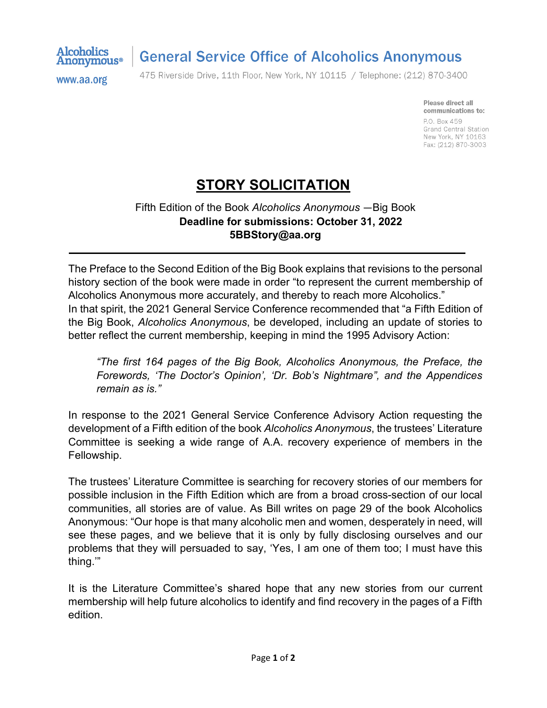

## **General Service Office of Alcoholics Anonymous**

www.aa.org

475 Riverside Drive, 11th Floor, New York, NY 10115 / Telephone: (212) 870-3400

Please direct all communications to: P.O. Box 459 Grand Central Station New York, NY 10163 Fax: (212) 870-3003

## **STORY SOLICITATION**

## Fifth Edition of the Book *Alcoholics Anonymous* ―Big Book **Deadline for submissions: October 31, 2022 5BBStory@aa.org**

The Preface to the Second Edition of the Big Book explains that revisions to the personal history section of the book were made in order "to represent the current membership of Alcoholics Anonymous more accurately, and thereby to reach more Alcoholics." In that spirit, the 2021 General Service Conference recommended that "a Fifth Edition of the Big Book, *Alcoholics Anonymous*, be developed, including an update of stories to better reflect the current membership, keeping in mind the 1995 Advisory Action:

*"The first 164 pages of the Big Book, Alcoholics Anonymous, the Preface, the Forewords, 'The Doctor's Opinion', 'Dr. Bob's Nightmare", and the Appendices remain as is."*

In response to the 2021 General Service Conference Advisory Action requesting the development of a Fifth edition of the book *Alcoholics Anonymous*, the trustees' Literature Committee is seeking a wide range of A.A. recovery experience of members in the Fellowship.

The trustees' Literature Committee is searching for recovery stories of our members for possible inclusion in the Fifth Edition which are from a broad cross-section of our local communities, all stories are of value. As Bill writes on page 29 of the book Alcoholics Anonymous: "Our hope is that many alcoholic men and women, desperately in need, will see these pages, and we believe that it is only by fully disclosing ourselves and our problems that they will persuaded to say, 'Yes, I am one of them too; I must have this thing.'"

It is the Literature Committee's shared hope that any new stories from our current membership will help future alcoholics to identify and find recovery in the pages of a Fifth edition.